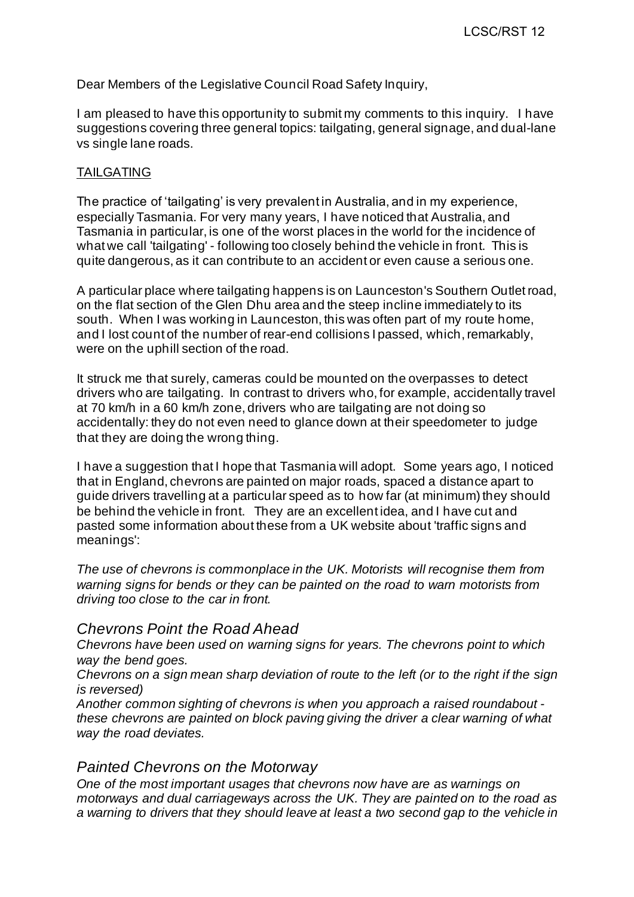Dear Members of the Legislative Council Road Safety Inquiry,

I am pleased to have this opportunity to submit my comments to this inquiry. I have suggestions covering three general topics: tailgating, general signage, and dual-lane vs single lane roads.

#### TAILGATING

The practice of 'tailgating' is very prevalent in Australia, and in my experience, especially Tasmania. For very many years, I have noticed that Australia, and Tasmania in particular, is one of the worst places in the world for the incidence of what we call 'tailgating' - following too closely behind the vehicle in front. This is quite dangerous, as it can contribute to an accident or even cause a serious one.

A particular place where tailgating happens is on Launceston's Southern Outlet road, on the flat section of the Glen Dhu area and the steep incline immediately to its south. When I was working in Launceston, this was often part of my route home, and I lost count of the number of rear-end collisions I passed, which, remarkably, were on the uphill section of the road.

It struck me that surely, cameras could be mounted on the overpasses to detect drivers who are tailgating. In contrast to drivers who, for example, accidentally travel at 70 km/h in a 60 km/h zone, drivers who are tailgating are not doing so accidentally: they do not even need to glance down at their speedometer to judge that they are doing the wrong thing.

I have a suggestion that I hope that Tasmania will adopt. Some years ago, I noticed that in England, chevrons are painted on major roads, spaced a distance apart to guide drivers travelling at a particular speed as to how far (at minimum) they should be behind the vehicle in front. They are an excellent idea, and I have cut and pasted some information about these from a UK website about 'traffic signs and meanings':

*The use of chevrons is commonplace in the UK. Motorists will recognise them from warning signs for bends or they can be painted on the road to warn motorists from driving too close to the car in front.*

# *Chevrons Point the Road Ahead*

*Chevrons have been used on warning signs for years. The chevrons point to which way the bend goes.*

*Chevrons on a sign mean sharp deviation of route to the left (or to the right if the sign is reversed)*

*Another common sighting of chevrons is when you approach a raised roundabout these chevrons are painted on block paving giving the driver a clear warning of what way the road deviates.*

## *Painted Chevrons on the Motorway*

*One of the most important usages that chevrons now have are as warnings on motorways and dual carriageways across the UK. They are painted on to the road as a warning to drivers that they should leave at least a two second gap to the vehicle in*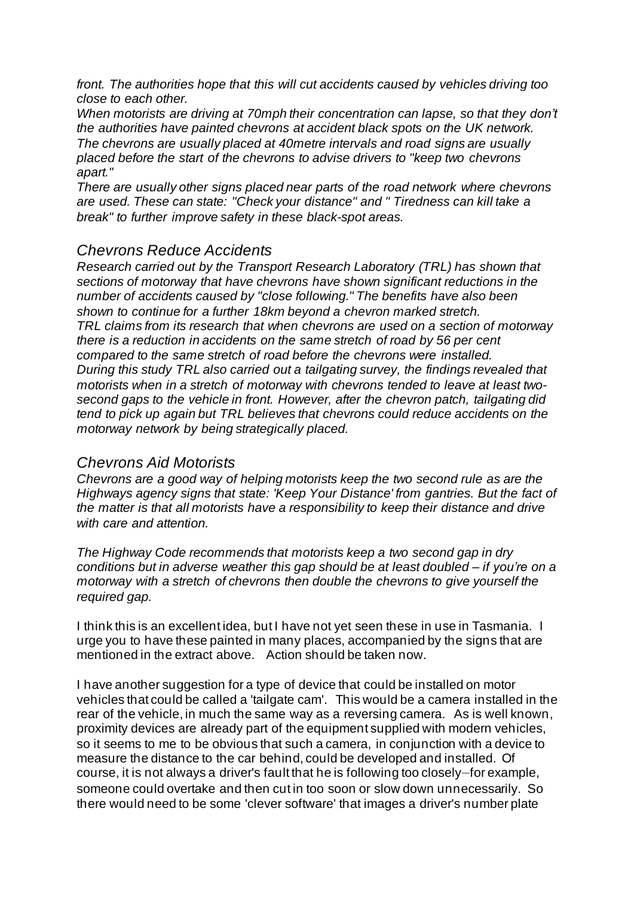*front. The authorities hope that this will cut accidents caused by vehicles driving too close to each other.*

*When motorists are driving at 70mph their concentration can lapse, so that they don't the authorities have painted chevrons at accident black spots on the UK network. The chevrons are usually placed at 40metre intervals and road signs are usually placed before the start of the chevrons to advise drivers to "keep two chevrons apart."*

*There are usually other signs placed near parts of the road network where chevrons are used. These can state: "Check your distance" and " Tiredness can kill take a break" to further improve safety in these black-spot areas.*

## *Chevrons Reduce Accidents*

*Research carried out by the Transport Research Laboratory (TRL) has shown that sections of motorway that have chevrons have shown significant reductions in the number of accidents caused by "close following." The benefits have also been shown to continue for a further 18km beyond a chevron marked stretch. TRL claims from its research that when chevrons are used on a section of motorway there is a reduction in accidents on the same stretch of road by 56 per cent compared to the same stretch of road before the chevrons were installed. During this study TRL also carried out a tailgating survey, the findings revealed that motorists when in a stretch of motorway with chevrons tended to leave at least twosecond gaps to the vehicle in front. However, after the chevron patch, tailgating did tend to pick up again but TRL believes that chevrons could reduce accidents on the motorway network by being strategically placed.*

## *Chevrons Aid Motorists*

*Chevrons are a good way of helping motorists keep the two second rule as are the Highways agency signs that state: 'Keep Your Distance' from gantries. But the fact of the matter is that all motorists have a responsibility to keep their distance and drive with care and attention.*

*The Highway Code recommends that motorists keep a two second gap in dry conditions but in adverse weather this gap should be at least doubled – if you're on a motorway with a stretch of chevrons then double the chevrons to give yourself the required gap.*

I think this is an excellent idea, but I have not yet seen these in use in Tasmania. I urge you to have these painted in many places, accompanied by the signs that are mentioned in the extract above. Action should be taken now.

I have another suggestion for a type of device that could be installed on motor vehicles that could be called a 'tailgate cam'. This would be a camera installed in the rear of the vehicle, in much the same way as a reversing camera. As is well known, proximity devices are already part of the equipment supplied with modern vehicles, so it seems to me to be obvious that such a camera, in conjunction with a device to measure the distance to the car behind, could be developed and installed. Of course, it is not always a driver's fault that he is following too closely—for example, someone could overtake and then cut in too soon or slow down unnecessarily. So there would need to be some 'clever software' that images a driver's number plate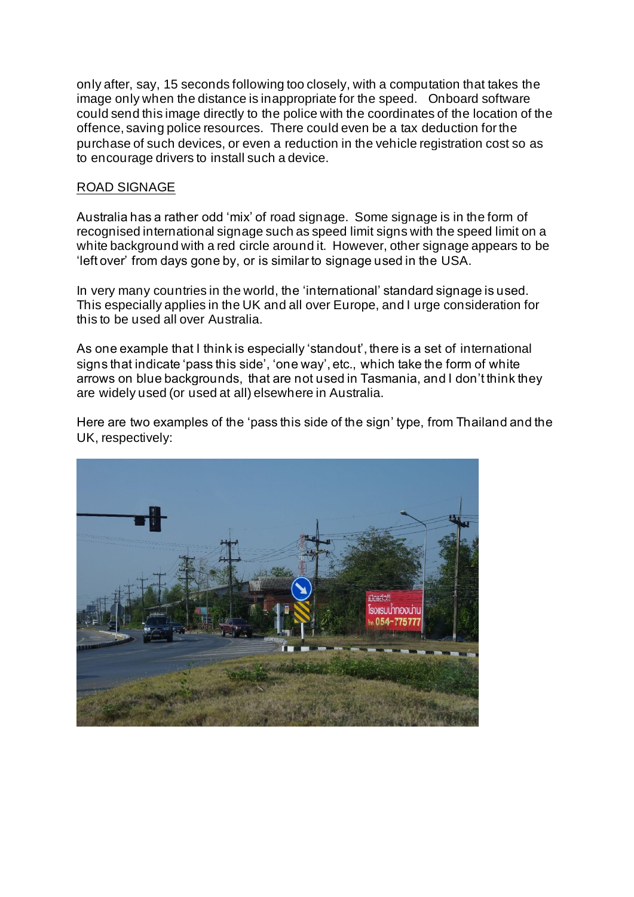only after, say, 15 seconds following too closely, with a computation that takes the image only when the distance is inappropriate for the speed. Onboard software could send this image directly to the police with the coordinates of the location of the offence, saving police resources. There could even be a tax deduction for the purchase of such devices, or even a reduction in the vehicle registration cost so as to encourage drivers to install such a device.

### ROAD SIGNAGE

Australia has a rather odd 'mix' of road signage. Some signage is in the form of recognised international signage such as speed limit signs with the speed limit on a white background with a red circle around it. However, other signage appears to be 'left over' from days gone by, or is similar to signage used in the USA.

In very many countries in the world, the 'international' standard signage is used. This especially applies in the UK and all over Europe, and I urge consideration for this to be used all over Australia.

As one example that I think is especially 'standout', there is a set of international signs that indicate 'pass this side', 'one way', etc., which take the form of white arrows on blue backgrounds, that are not used in Tasmania, and I don't think they are widely used (or used at all) elsewhere in Australia.

Here are two examples of the 'pass this side of the sign' type, from Thailand and the UK, respectively:

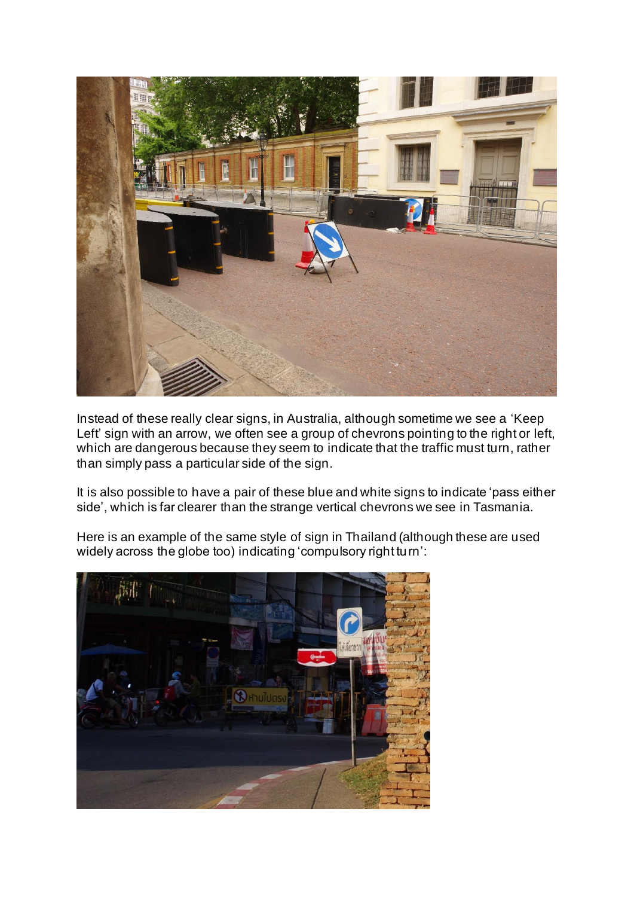

Instead of these really clear signs, in Australia, although sometime we see a 'Keep Left' sign with an arrow, we often see a group of chevrons pointing to the right or left, which are dangerous because they seem to indicate that the traffic must turn, rather than simply pass a particular side of the sign.

It is also possible to have a pair of these blue and white signs to indicate 'pass either side', which is far clearer than the strange vertical chevrons we see in Tasmania.

Here is an example of the same style of sign in Thailand (although these are used widely across the globe too) indicating 'compulsory right turn':